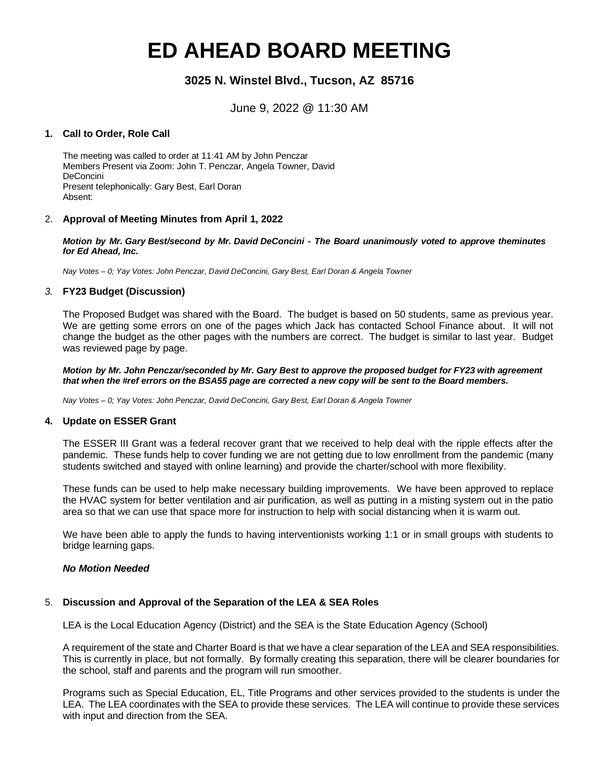# **ED AHEAD BOARD MEETING**

# **3025 N. Winstel Blvd., Tucson, AZ 85716**

June 9, 2022 @ 11:30 AM

## **1. Call to Order, Role Call**

The meeting was called to order at 11:41 AM by John Penczar Members Present via Zoom: John T. Penczar, Angela Towner, David DeConcini Present telephonically: Gary Best, Earl Doran Absent:

# 2. **Approval of Meeting Minutes from April 1, 2022**

*Motion by Mr. Gary Best/second by Mr. David DeConcini - The Board unanimously voted to approve theminutes for Ed Ahead, Inc.*

*Nay Votes – 0; Yay Votes: John Penczar, David DeConcini, Gary Best, Earl Doran & Angela Towner*

## *3.* **FY23 Budget (Discussion)**

The Proposed Budget was shared with the Board. The budget is based on 50 students, same as previous year. We are getting some errors on one of the pages which Jack has contacted School Finance about. It will not change the budget as the other pages with the numbers are correct. The budget is similar to last year. Budget was reviewed page by page.

*Motion by Mr. John Penczar/seconded by Mr. Gary Best to approve the proposed budget for FY23 with agreement that when the #ref errors on the BSA55 page are corrected a new copy will be sent to the Board members.*

*Nay Votes – 0; Yay Votes: John Penczar, David DeConcini, Gary Best, Earl Doran & Angela Towner*

## **4. Update on ESSER Grant**

The ESSER III Grant was a federal recover grant that we received to help deal with the ripple effects after the pandemic. These funds help to cover funding we are not getting due to low enrollment from the pandemic (many students switched and stayed with online learning) and provide the charter/school with more flexibility.

These funds can be used to help make necessary building improvements. We have been approved to replace the HVAC system for better ventilation and air purification, as well as putting in a misting system out in the patio area so that we can use that space more for instruction to help with social distancing when it is warm out.

We have been able to apply the funds to having interventionists working 1:1 or in small groups with students to bridge learning gaps.

## *No Motion Needed*

# 5. **Discussion and Approval of the Separation of the LEA & SEA Roles**

LEA is the Local Education Agency (District) and the SEA is the State Education Agency (School)

A requirement of the state and Charter Board is that we have a clear separation of the LEA and SEA responsibilities. This is currently in place, but not formally. By formally creating this separation, there will be clearer boundaries for the school, staff and parents and the program will run smoother.

Programs such as Special Education, EL, Title Programs and other services provided to the students is under the LEA. The LEA coordinates with the SEA to provide these services. The LEA will continue to provide these services with input and direction from the SEA.